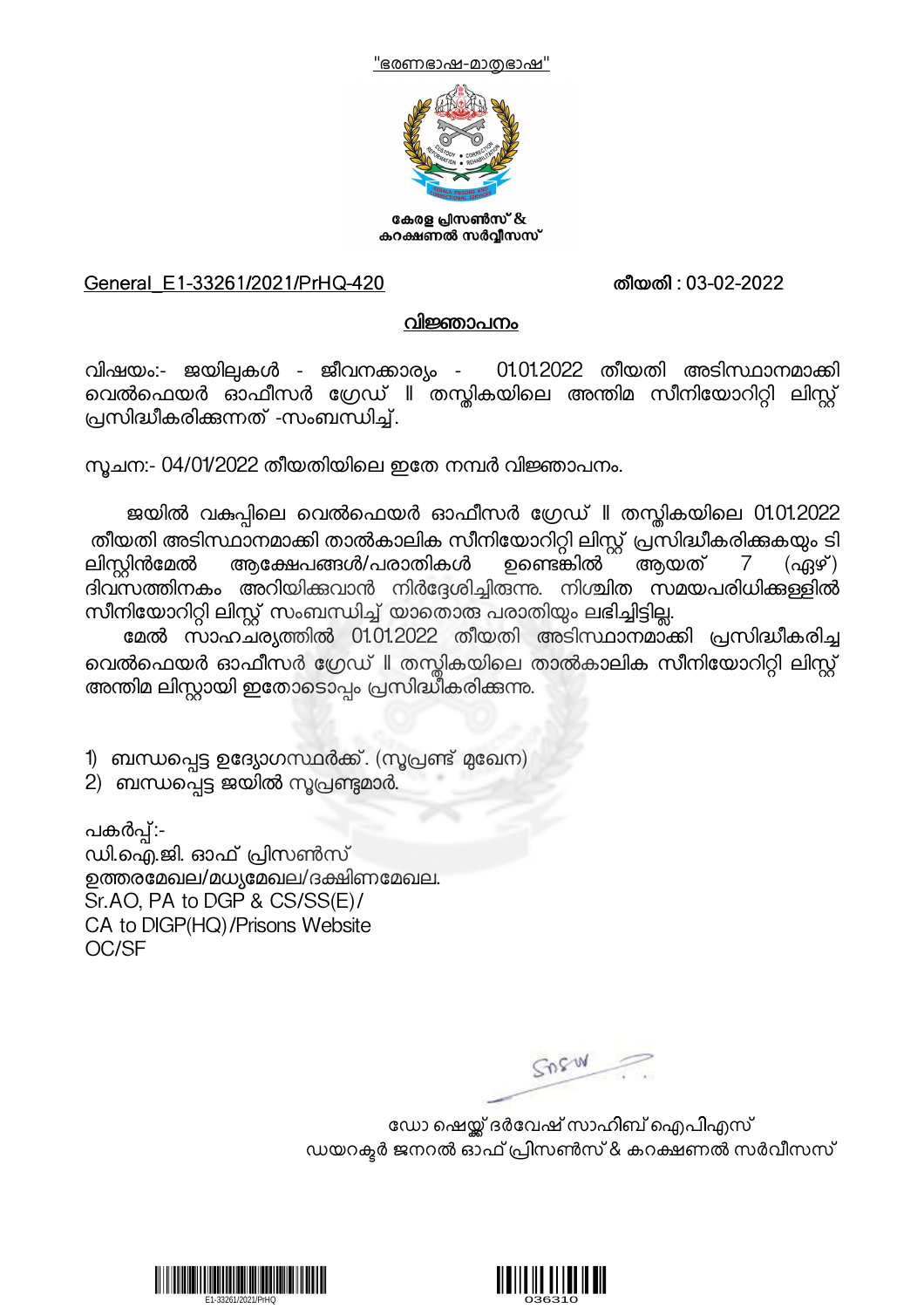



കേരള പ്രസൺസ് & കറക്ഷണൽ സർവ്വീസസ്

## General\_E1-33261/2021/PrHQ-420 തീയതി : 03-02-2022

## വിജ്ഞാപനം

വിഷയം:- ജയില്പകൾ - ജീവനക്കാര്യം - 01.01.2022 തീയതി അടിസ്ഥാനമാക്കി വെൽഫെയർ ഓഫീസർ ഗ്രേഡ് ll തസ്തികയിലെ അന്തിമ സീനിയോറിറ്റി ലിസ്റ്റ് പ്രസിദ്ധീകരിക്കുന്നത് -സംബന്ധിച്ച്.

നുചന:- 04/01/2022 തീയതിയിലെ ഇതേ നമ്പർ വിജ്ഞാപനം.

ജയിൽ വകുപ്പിലെ വെൽഫെയർ ഓഫീസർ ഗ്രേഡ് ll തസ്കികയിലെ 01.01.2022 ്തീയതി അടിസ്ഥാനമാക്കി താൽകാലിക സീനിയോറിറ്റി ലിസ്റ്റ് പ്രസിദ്ധീകരിക്കുകയും ടി<br>ലിസ്കിൻമേൽ ആക്ഷേപങ്ങൾ/പരാതികൾ ഉണ്ടെങ്കിൽ ആയത് 7 (ഏഴ് ) ആക്ഷേപങ്ങൾ/പരാതികൾ ദിവസത്തിനകം അറിയിക്കവാൻ നിർദ്ദേശിച്ചിരുന്നു. നിശ്ചിത സമയപരിധിക്കള്ളിൽ സീനിയോറിറ്റി ലിസ്റ്റ് സംബന്ധിച്ച് യാതൊരു പരാതിയും ലഭിച്ചിട്ടില്ല.

മേൽ സാഹചര്യത്തിൽ 01.01.2022 തീയതി അടിസ്ഥാനമാക്കി പ്രസിദ്ധീകരിച്ച വെൽഫെയർ ഓഫീസർ ഗ്രേഡ് II തസ്തികയിലെ താൽകാലിക സീനിയോറിറ്റി ലിസ്റ്റ്<br>അന്തിമ ലിസ്റ്റായി ഇതോടൊപ്പം പ്രസിദ്ധീകരിക്കന്നു.

1) ബന്ധപ്പെട്ട ഉദ്യോഗസ്ഥർക്ക്. (സൂപ്രണ്ട് മുഖേന)

 $2$ ) ബന്ധപ്പെട്ട ജയിൽ സൂപ്രണ്ടുമാർ.

പകർപ്പ്:-<br>ഡി.ഐ.ജി. ഓഫ് പ്രിസൺസ് ഉത്തരമേഖല/മധ്യമേഖല/ദക്ഷിണമേഖല. Sr.AO, PA to DGP & CS/SS(E)/ CA to DIGP(HQ)/Prisons Website OC/SF

SORW

ഡോ ഷെയ്ക് ദർവേഷ് സാഹിബ് ഐപിഎസ് ഡയറക്ടർ ജനറൽ ഓഫ് പ്രിസൺസ് & കറക്ഷണൽ സർവീസസ്